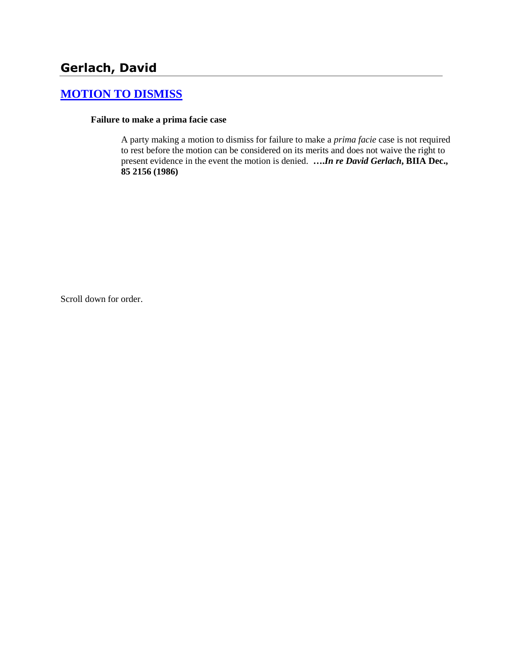# **[MOTION TO DISMISS](http://www.biia.wa.gov/SDSubjectIndex.html#MOTION_TO_DISMISS)**

#### **Failure to make a prima facie case**

A party making a motion to dismiss for failure to make a *prima facie* case is not required to rest before the motion can be considered on its merits and does not waive the right to present evidence in the event the motion is denied. **….***In re David Gerlach***, BIIA Dec., 85 2156 (1986)** 

Scroll down for order.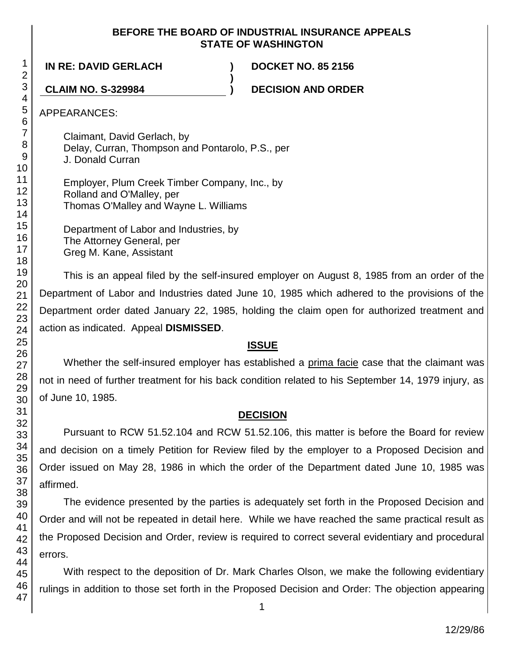#### **BEFORE THE BOARD OF INDUSTRIAL INSURANCE APPEALS STATE OF WASHINGTON**

**)**

**IN RE: DAVID GERLACH ) DOCKET NO. 85 2156**

**CLAIM NO. S-329984 ) DECISION AND ORDER**

APPEARANCES:

Claimant, David Gerlach, by Delay, Curran, Thompson and Pontarolo, P.S., per J. Donald Curran

Employer, Plum Creek Timber Company, Inc., by Rolland and O'Malley, per Thomas O'Malley and Wayne L. Williams

Department of Labor and Industries, by The Attorney General, per Greg M. Kane, Assistant

This is an appeal filed by the self-insured employer on August 8, 1985 from an order of the Department of Labor and Industries dated June 10, 1985 which adhered to the provisions of the Department order dated January 22, 1985, holding the claim open for authorized treatment and action as indicated. Appeal **DISMISSED**.

## **ISSUE**

Whether the self-insured employer has established a prima facie case that the claimant was not in need of further treatment for his back condition related to his September 14, 1979 injury, as of June 10, 1985.

## **DECISION**

Pursuant to RCW 51.52.104 and RCW 51.52.106, this matter is before the Board for review and decision on a timely Petition for Review filed by the employer to a Proposed Decision and Order issued on May 28, 1986 in which the order of the Department dated June 10, 1985 was affirmed.

The evidence presented by the parties is adequately set forth in the Proposed Decision and Order and will not be repeated in detail here. While we have reached the same practical result as the Proposed Decision and Order, review is required to correct several evidentiary and procedural errors.

With respect to the deposition of Dr. Mark Charles Olson, we make the following evidentiary rulings in addition to those set forth in the Proposed Decision and Order: The objection appearing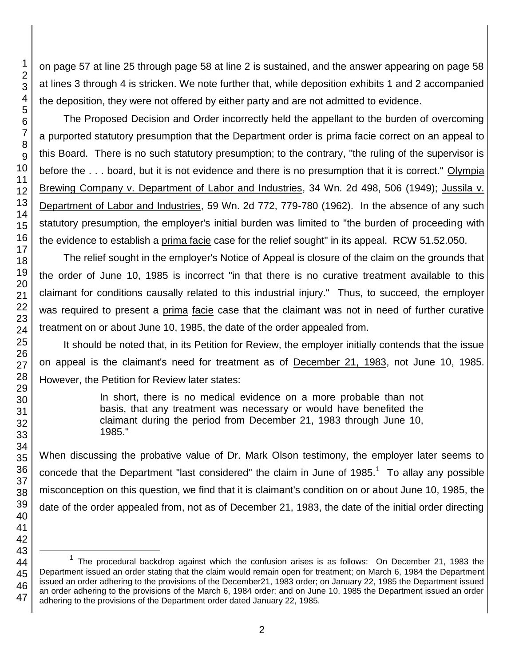on page 57 at line 25 through page 58 at line 2 is sustained, and the answer appearing on page 58 at lines 3 through 4 is stricken. We note further that, while deposition exhibits 1 and 2 accompanied the deposition, they were not offered by either party and are not admitted to evidence.

The Proposed Decision and Order incorrectly held the appellant to the burden of overcoming a purported statutory presumption that the Department order is prima facie correct on an appeal to this Board. There is no such statutory presumption; to the contrary, "the ruling of the supervisor is before the . . . board, but it is not evidence and there is no presumption that it is correct." Olympia Brewing Company v. Department of Labor and Industries, 34 Wn. 2d 498, 506 (1949); Jussila v. Department of Labor and Industries, 59 Wn. 2d 772, 779-780 (1962). In the absence of any such statutory presumption, the employer's initial burden was limited to "the burden of proceeding with the evidence to establish a prima facie case for the relief sought" in its appeal. RCW 51.52.050.

The relief sought in the employer's Notice of Appeal is closure of the claim on the grounds that the order of June 10, 1985 is incorrect "in that there is no curative treatment available to this claimant for conditions causally related to this industrial injury." Thus, to succeed, the employer was required to present a prima facie case that the claimant was not in need of further curative treatment on or about June 10, 1985, the date of the order appealed from.

It should be noted that, in its Petition for Review, the employer initially contends that the issue on appeal is the claimant's need for treatment as of December 21, 1983, not June 10, 1985. However, the Petition for Review later states:

> In short, there is no medical evidence on a more probable than not basis, that any treatment was necessary or would have benefited the claimant during the period from December 21, 1983 through June 10, 1985."

When discussing the probative value of Dr. Mark Olson testimony, the employer later seems to concede that the Department "last considered" the claim in June of 1985. To allay any possible misconception on this question, we find that it is claimant's condition on or about June 10, 1985, the date of the order appealed from, not as of December 21, 1983, the date of the initial order directing

l

 The procedural backdrop against which the confusion arises is as follows: On December 21, 1983 the Department issued an order stating that the claim would remain open for treatment; on March 6, 1984 the Department issued an order adhering to the provisions of the December21, 1983 order; on January 22, 1985 the Department issued an order adhering to the provisions of the March 6, 1984 order; and on June 10, 1985 the Department issued an order adhering to the provisions of the Department order dated January 22, 1985.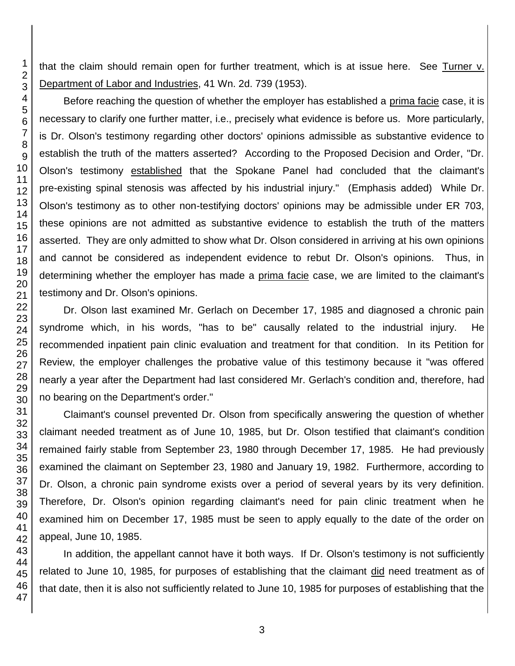that the claim should remain open for further treatment, which is at issue here. See Turner v. Department of Labor and Industries, 41 Wn. 2d. 739 (1953).

Before reaching the question of whether the employer has established a prima facie case, it is necessary to clarify one further matter, i.e., precisely what evidence is before us. More particularly, is Dr. Olson's testimony regarding other doctors' opinions admissible as substantive evidence to establish the truth of the matters asserted? According to the Proposed Decision and Order, "Dr. Olson's testimony established that the Spokane Panel had concluded that the claimant's pre-existing spinal stenosis was affected by his industrial injury." (Emphasis added) While Dr. Olson's testimony as to other non-testifying doctors' opinions may be admissible under ER 703, these opinions are not admitted as substantive evidence to establish the truth of the matters asserted. They are only admitted to show what Dr. Olson considered in arriving at his own opinions and cannot be considered as independent evidence to rebut Dr. Olson's opinions. Thus, in determining whether the employer has made a prima facie case, we are limited to the claimant's testimony and Dr. Olson's opinions.

Dr. Olson last examined Mr. Gerlach on December 17, 1985 and diagnosed a chronic pain syndrome which, in his words, "has to be" causally related to the industrial injury. He recommended inpatient pain clinic evaluation and treatment for that condition. In its Petition for Review, the employer challenges the probative value of this testimony because it "was offered nearly a year after the Department had last considered Mr. Gerlach's condition and, therefore, had no bearing on the Department's order."

Claimant's counsel prevented Dr. Olson from specifically answering the question of whether claimant needed treatment as of June 10, 1985, but Dr. Olson testified that claimant's condition remained fairly stable from September 23, 1980 through December 17, 1985. He had previously examined the claimant on September 23, 1980 and January 19, 1982. Furthermore, according to Dr. Olson, a chronic pain syndrome exists over a period of several years by its very definition. Therefore, Dr. Olson's opinion regarding claimant's need for pain clinic treatment when he examined him on December 17, 1985 must be seen to apply equally to the date of the order on appeal, June 10, 1985.

In addition, the appellant cannot have it both ways. If Dr. Olson's testimony is not sufficiently related to June 10, 1985, for purposes of establishing that the claimant did need treatment as of that date, then it is also not sufficiently related to June 10, 1985 for purposes of establishing that the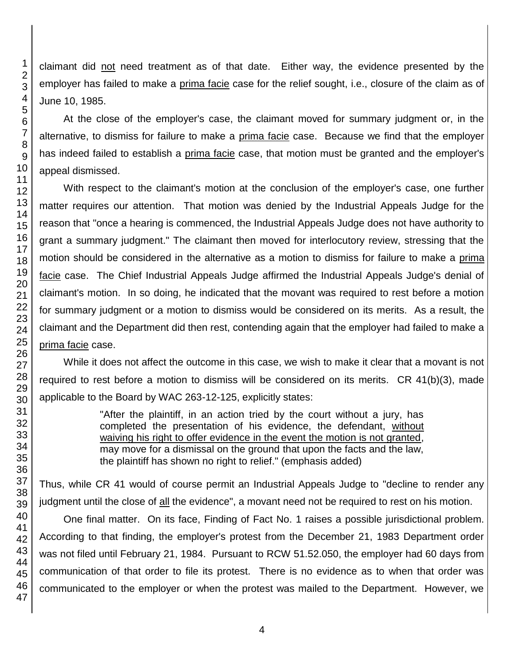claimant did not need treatment as of that date. Either way, the evidence presented by the employer has failed to make a prima facie case for the relief sought, i.e., closure of the claim as of June 10, 1985.

At the close of the employer's case, the claimant moved for summary judgment or, in the alternative, to dismiss for failure to make a prima facie case. Because we find that the employer has indeed failed to establish a prima facie case, that motion must be granted and the employer's appeal dismissed.

With respect to the claimant's motion at the conclusion of the employer's case, one further matter requires our attention. That motion was denied by the Industrial Appeals Judge for the reason that "once a hearing is commenced, the Industrial Appeals Judge does not have authority to grant a summary judgment." The claimant then moved for interlocutory review, stressing that the motion should be considered in the alternative as a motion to dismiss for failure to make a prima facie case. The Chief Industrial Appeals Judge affirmed the Industrial Appeals Judge's denial of claimant's motion. In so doing, he indicated that the movant was required to rest before a motion for summary judgment or a motion to dismiss would be considered on its merits. As a result, the claimant and the Department did then rest, contending again that the employer had failed to make a prima facie case.

While it does not affect the outcome in this case, we wish to make it clear that a movant is not required to rest before a motion to dismiss will be considered on its merits. CR 41(b)(3), made applicable to the Board by WAC 263-12-125, explicitly states:

> "After the plaintiff, in an action tried by the court without a jury, has completed the presentation of his evidence, the defendant, without waiving his right to offer evidence in the event the motion is not granted, may move for a dismissal on the ground that upon the facts and the law, the plaintiff has shown no right to relief." (emphasis added)

Thus, while CR 41 would of course permit an Industrial Appeals Judge to "decline to render any judgment until the close of all the evidence", a movant need not be required to rest on his motion.

One final matter. On its face, Finding of Fact No. 1 raises a possible jurisdictional problem. According to that finding, the employer's protest from the December 21, 1983 Department order was not filed until February 21, 1984. Pursuant to RCW 51.52.050, the employer had 60 days from communication of that order to file its protest. There is no evidence as to when that order was communicated to the employer or when the protest was mailed to the Department. However, we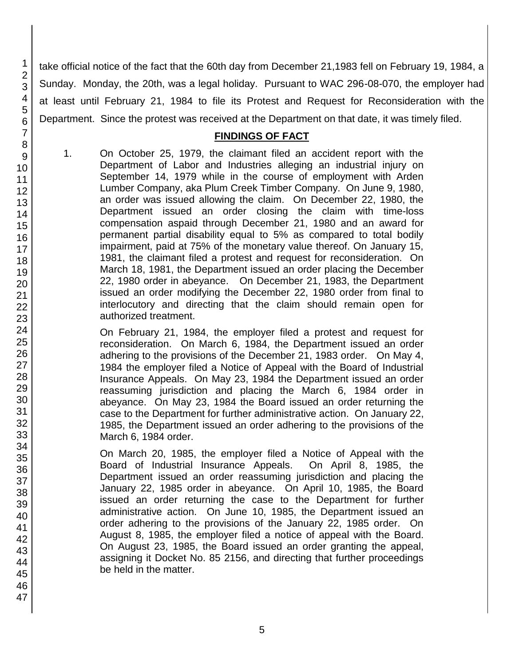take official notice of the fact that the 60th day from December 21,1983 fell on February 19, 1984, a Sunday. Monday, the 20th, was a legal holiday. Pursuant to WAC 296-08-070, the employer had at least until February 21, 1984 to file its Protest and Request for Reconsideration with the Department. Since the protest was received at the Department on that date, it was timely filed.

#### **FINDINGS OF FACT**

1. On October 25, 1979, the claimant filed an accident report with the Department of Labor and Industries alleging an industrial injury on September 14, 1979 while in the course of employment with Arden Lumber Company, aka Plum Creek Timber Company. On June 9, 1980, an order was issued allowing the claim. On December 22, 1980, the Department issued an order closing the claim with time-loss compensation aspaid through December 21, 1980 and an award for permanent partial disability equal to 5% as compared to total bodily impairment, paid at 75% of the monetary value thereof. On January 15, 1981, the claimant filed a protest and request for reconsideration. On March 18, 1981, the Department issued an order placing the December 22, 1980 order in abeyance. On December 21, 1983, the Department issued an order modifying the December 22, 1980 order from final to interlocutory and directing that the claim should remain open for authorized treatment.

On February 21, 1984, the employer filed a protest and request for reconsideration. On March 6, 1984, the Department issued an order adhering to the provisions of the December 21, 1983 order. On May 4, 1984 the employer filed a Notice of Appeal with the Board of Industrial Insurance Appeals. On May 23, 1984 the Department issued an order reassuming jurisdiction and placing the March 6, 1984 order in abeyance. On May 23, 1984 the Board issued an order returning the case to the Department for further administrative action. On January 22, 1985, the Department issued an order adhering to the provisions of the March 6, 1984 order.

On March 20, 1985, the employer filed a Notice of Appeal with the Board of Industrial Insurance Appeals. On April 8, 1985, the Department issued an order reassuming jurisdiction and placing the January 22, 1985 order in abeyance. On April 10, 1985, the Board issued an order returning the case to the Department for further administrative action. On June 10, 1985, the Department issued an order adhering to the provisions of the January 22, 1985 order. On August 8, 1985, the employer filed a notice of appeal with the Board. On August 23, 1985, the Board issued an order granting the appeal, assigning it Docket No. 85 2156, and directing that further proceedings be held in the matter.